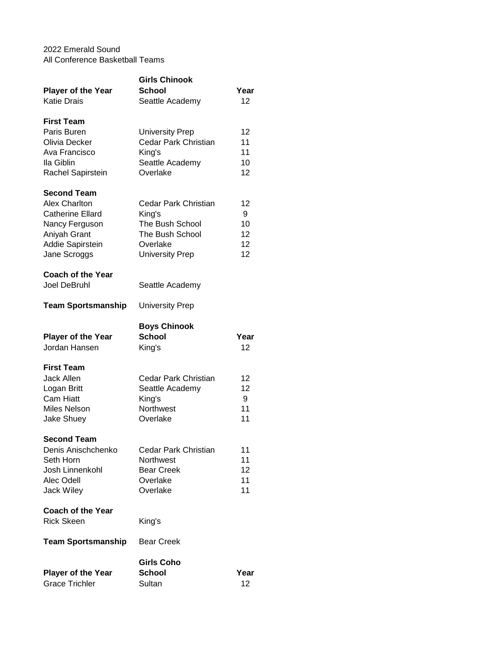## 2022 Emerald Sound All Conference Basketball Teams

| <b>Player of the Year</b><br><b>Katie Drais</b>                                                                                             | <b>Girls Chinook</b><br><b>School</b><br>Seattle Academy                                                   | Year<br>12                      |
|---------------------------------------------------------------------------------------------------------------------------------------------|------------------------------------------------------------------------------------------------------------|---------------------------------|
| <b>First Team</b><br>Paris Buren<br>Olivia Decker<br>Ava Francisco<br>Ila Giblin<br>Rachel Sapirstein                                       | <b>University Prep</b><br>Cedar Park Christian<br>King's<br>Seattle Academy<br>Overlake                    | 12<br>11<br>11<br>10<br>12      |
| <b>Second Team</b><br><b>Alex Charlton</b><br><b>Catherine Ellard</b><br>Nancy Ferguson<br>Aniyah Grant<br>Addie Sapirstein<br>Jane Scroggs | Cedar Park Christian<br>King's<br>The Bush School<br>The Bush School<br>Overlake<br><b>University Prep</b> | 12<br>9<br>10<br>12<br>12<br>12 |
| <b>Coach of the Year</b><br><b>Joel DeBruhl</b>                                                                                             | Seattle Academy                                                                                            |                                 |
| <b>Team Sportsmanship</b>                                                                                                                   | <b>University Prep</b>                                                                                     |                                 |
| <b>Player of the Year</b><br>Jordan Hansen                                                                                                  | <b>Boys Chinook</b><br><b>School</b><br>King's                                                             | Year<br>12                      |
| <b>First Team</b><br><b>Jack Allen</b><br>Logan Britt<br><b>Cam Hiatt</b><br><b>Miles Nelson</b><br><b>Jake Shuey</b>                       | Cedar Park Christian<br>Seattle Academy<br>King's<br><b>Northwest</b><br>Overlake                          | 12<br>12<br>9<br>11<br>11       |
| <b>Second Team</b><br>Denis Anischchenko<br>Seth Horn<br>Josh Linnenkohl<br>Alec Odell<br><b>Jack Wiley</b>                                 | Cedar Park Christian<br>Northwest<br><b>Bear Creek</b><br>Overlake<br>Overlake                             | 11<br>11<br>12<br>11<br>11      |
| <b>Coach of the Year</b><br><b>Rick Skeen</b>                                                                                               | King's                                                                                                     |                                 |
| <b>Team Sportsmanship</b>                                                                                                                   | <b>Bear Creek</b>                                                                                          |                                 |
| <b>Player of the Year</b><br><b>Grace Trichler</b>                                                                                          | <b>Girls Coho</b><br><b>School</b><br>Sultan                                                               | Year<br>12                      |